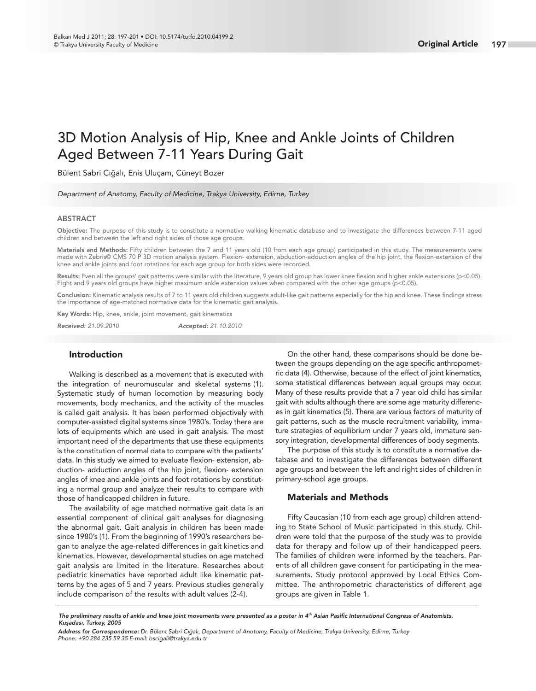# 3D Motion Analysis of Hip, Knee and Ankle Joints of Children Aged Between 7-11 Years During Gait

Bülent Sabri Cığalı, Enis Uluçam, Cüneyt Bozer

Department of Anatomy, Faculty of Medicine, Trakya University, Edirne, Turkey

# **ABSTRACT**

**Objective:** The purpose of this study is to constitute a normative walking kinematic database and to investigate the differences between 7-11 aged children and between the left and right sides of those age groups.

**Materials and Methods:** Fifty children between the 7 and 11 years old (10 from each age group) participated in this study. The measurements were made with Zebris© CMS 70 P 3D motion analysis system. Flexion- extension, abduction-adduction angles of the hip joint, the flexion-extension of the knee and ankle joints and foot rotations for each age group for both sides were recorded.

Results: Even all the groups' gait patterns were similar with the literature, 9 years old group has lower knee flexion and higher ankle extensions (p<0.05). Eight and 9 years old groups have higher maximum ankle extension values when compared with the other age groups (p<0.05).

Conclusion: Kinematic analysis results of 7 to 11 years old children suggests adult-like gait patterns especially for the hip and knee. These findings stress the importance of age-matched normative data for the kinematic gait analysis.

**Key Words:** Hip, knee, ankle, joint movement, gait kinematics

*Received:* 21.09.2010 *Accepted:* 21.10.2010

# **Introduction**

Walking is described as a movement that is executed with the integration of neuromuscular and skeletal systems (1). Systematic study of human locomotion by measuring body movements, body mechanics, and the activity of the muscles is called gait analysis. It has been performed objectively with computer-assisted digital systems since 1980's. Today there are lots of equipments which are used in gait analysis. The most important need of the departments that use these equipments is the constitution of normal data to compare with the patients' data. In this study we aimed to evaluate flexion- extension, abduction- adduction angles of the hip joint, flexion- extension angles of knee and ankle joints and foot rotations by constituting a normal group and analyze their results to compare with those of handicapped children in future.

The availability of age matched normative gait data is an essential component of clinical gait analyses for diagnosing the abnormal gait. Gait analysis in children has been made since 1980's (1). From the beginning of 1990's researchers began to analyze the age-related differences in gait kinetics and kinematics. However, developmental studies on age matched gait analysis are limited in the literature. Researches about pediatric kinematics have reported adult like kinematic patterns by the ages of 5 and 7 years. Previous studies generally include comparison of the results with adult values (2-4).

On the other hand, these comparisons should be done between the groups depending on the age specific anthropometric data (4). Otherwise, because of the effect of joint kinematics, some statistical differences between equal groups may occur. Many of these results provide that a 7 year old child has similar gait with adults although there are some age maturity differences in gait kinematics (5). There are various factors of maturity of gait patterns, such as the muscle recruitment variability, immature strategies of equilibrium under 7 years old, immature sensory integration, developmental differences of body segments.

The purpose of this study is to constitute a normative database and to investigate the differences between different age groups and between the left and right sides of children in primary-school age groups.

# **Materials and Methods**

Fifty Caucasian (10 from each age group) children attending to State School of Music participated in this study. Children were told that the purpose of the study was to provide data for therapy and follow up of their handicapped peers. The families of children were informed by the teachers. Parents of all children gave consent for participating in the measurements. Study protocol approved by Local Ethics Committee. The anthropometric characteristics of different age groups are given in Table 1.

The preliminary results of ankle and knee joint movements were presented as a poster in 4<sup>th</sup> Asian Pasific International Congress of Anatomists, *Kuşadası, Turkey, 2005*

*Address for Correspondence:* Dr. Bülent Sabri Cığalı, Department of Anotomy, Faculty of Medicine, Trakya University, Edirne, Turkey Phone: +90 284 235 59 35 E-mail: bscigali@trakya.edu.tr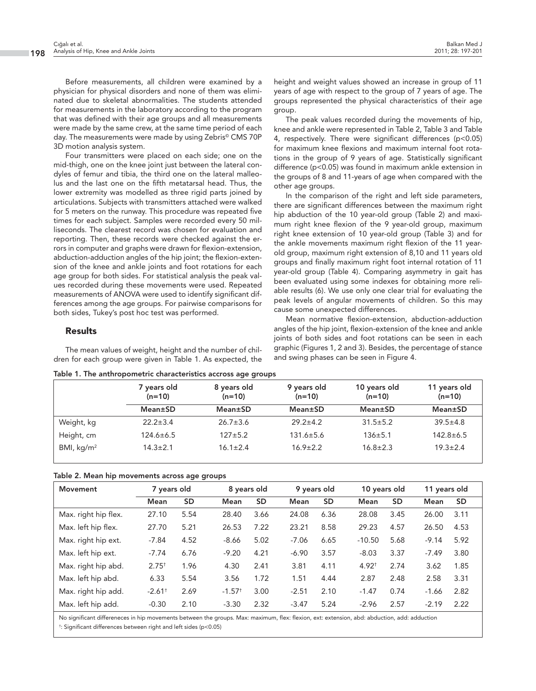Before measurements, all children were examined by a physician for physical disorders and none of them was eliminated due to skeletal abnormalities. The students attended for measurements in the laboratory according to the program that was defined with their age groups and all measurements were made by the same crew, at the same time period of each day. The measurements were made by using Zebris© CMS 70P 3D motion analysis system.

Four transmitters were placed on each side; one on the mid-thigh, one on the knee joint just between the lateral condyles of femur and tibia, the third one on the lateral malleolus and the last one on the fifth metatarsal head. Thus, the lower extremity was modelled as three rigid parts joined by articulations. Subjects with transmitters attached were walked for 5 meters on the runway. This procedure was repeated five times for each subject. Samples were recorded every 50 milliseconds. The clearest record was chosen for evaluation and reporting. Then, these records were checked against the errors in computer and graphs were drawn for flexion-extension, abduction-adduction angles of the hip joint; the flexion-extension of the knee and ankle joints and foot rotations for each age group for both sides. For statistical analysis the peak values recorded during these movements were used. Repeated measurements of ANOVA were used to identify significant differences among the age groups. For pairwise comparisons for both sides, Tukey's post hoc test was performed.

# **Results**

The mean values of weight, height and the number of children for each group were given in Table 1. As expected, the height and weight values showed an increase in group of 11 years of age with respect to the group of 7 years of age. The groups represented the physical characteristics of their age group.

The peak values recorded during the movements of hip, knee and ankle were represented in Table 2, Table 3 and Table 4, respectively. There were significant differences (p<0.05) for maximum knee flexions and maximum internal foot rotations in the group of 9 years of age. Statistically significant difference (p<0.05) was found in maximum ankle extension in the groups of 8 and 11-years of age when compared with the other age groups.

In the comparison of the right and left side parameters, there are significant differences between the maximum right hip abduction of the 10 year-old group (Table 2) and maximum right knee flexion of the 9 year-old group, maximum right knee extension of 10 year-old group (Table 3) and for the ankle movements maximum right flexion of the 11 yearold group, maximum right extension of 8,10 and 11 years old groups and finally maximum right foot internal rotation of 11 year-old group (Table 4). Comparing asymmetry in gait has been evaluated using some indexes for obtaining more reliable results (6). We use only one clear trial for evaluating the peak levels of angular movements of children. So this may cause some unexpected differences.

Mean normative flexion-extension, abduction-adduction angles of the hip joint, flexion-extension of the knee and ankle joints of both sides and foot rotations can be seen in each graphic (Figures 1, 2 and 3). Besides, the percentage of stance and swing phases can be seen in Figure 4.

|  |  | Table 1. The anthropometric characteristics accross age groups |  |  |  |
|--|--|----------------------------------------------------------------|--|--|--|
|--|--|----------------------------------------------------------------|--|--|--|

|              | 7 years old<br>$(n=10)$ | 8 years old<br>$(n=10)$ | 9 years old<br>$(n=10)$ | 10 years old<br>$(n=10)$ | 11 years old<br>$(n=10)$ |
|--------------|-------------------------|-------------------------|-------------------------|--------------------------|--------------------------|
|              | Mean±SD                 | Mean±SD                 | Mean±SD                 | <b>Mean±SD</b>           | <b>Mean±SD</b>           |
| Weight, kg   | $22.2 \pm 3.4$          | $26.7 \pm 3.6$          | $29.2 \pm 4.2$          | $31.5 \pm 5.2$           | $39.5 \pm 4.8$           |
| Height, cm   | 124.6±6.5               | $127 + 5.2$             | $131.6 \pm 5.6$         | $136 + 5.1$              | $142.8 \pm 6.5$          |
| BMI, $kg/m2$ | $14.3 \pm 2.1$          | $16.1 \pm 2.4$          | $16.9 \pm 2.2$          | $16.8 \pm 2.3$           | $19.3 \pm 2.4$           |

|  |  | Table 2. Mean hip movements across age groups |  |  |  |
|--|--|-----------------------------------------------|--|--|--|
|--|--|-----------------------------------------------|--|--|--|

| Movement             | 7 years old          |           |                      | 8 years old |         | 9 years old |            | 10 years old |         | 11 years old |
|----------------------|----------------------|-----------|----------------------|-------------|---------|-------------|------------|--------------|---------|--------------|
|                      | <b>Mean</b>          | <b>SD</b> | Mean                 | <b>SD</b>   | Mean    | <b>SD</b>   | Mean       | <b>SD</b>    | Mean    | <b>SD</b>    |
| Max. right hip flex. | 27.10                | 5.54      | 28.40                | 3.66        | 24.08   | 6.36        | 28.08      | 3.45         | 26.00   | 3.11         |
| Max. left hip flex.  | 27.70                | 5.21      | 26.53                | 7.22        | 23.21   | 8.58        | 29.23      | 4.57         | 26.50   | 4.53         |
| Max. right hip ext.  | $-7.84$              | 4.52      | $-8.66$              | 5.02        | $-7.06$ | 6.65        | $-10.50$   | 5.68         | $-9.14$ | 5.92         |
| Max. left hip ext.   | $-7.74$              | 6.76      | $-9.20$              | 4.21        | $-6.90$ | 3.57        | $-8.03$    | 3.37         | $-7.49$ | 3.80         |
| Max. right hip abd.  | $2.75^{+}$           | 1.96      | 4.30                 | 2.41        | 3.81    | 4.11        | $4.92^{+}$ | 2.74         | 3.62    | 1.85         |
| Max. left hip abd.   | 6.33                 | 5.54      | 3.56                 | 1.72        | 1.51    | 4.44        | 2.87       | 2.48         | 2.58    | 3.31         |
| Max. right hip add.  | $-2.61$ <sup>+</sup> | 2.69      | $-1.57$ <sup>+</sup> | 3.00        | $-2.51$ | 2.10        | $-1.47$    | 0.74         | $-1.66$ | 2.82         |
| Max. left hip add.   | $-0.30$              | 2.10      | $-3.30$              | 2.32        | $-3.47$ | 5.24        | $-2.96$    | 2.57         | $-2.19$ | 2.22         |

No significant differeneces in hip movements between the groups. Max: maximum, flex: flexion, ext: extension, abd: abduction, add: adduction † : Significant differences between right and left sides (p<0.05)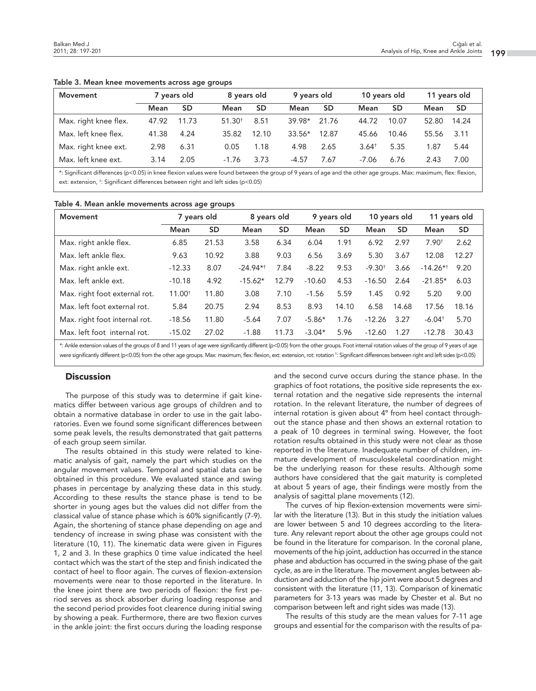| Movement              |       |           | 7 years old        |           | 8 years old |       | 9 years old |       |       | 10 years old |  | 11 years old |
|-----------------------|-------|-----------|--------------------|-----------|-------------|-------|-------------|-------|-------|--------------|--|--------------|
|                       | Mean  | <b>SD</b> | Mean               | <b>SD</b> | Mean        | SD    | Mean        | SD    | Mean  | <b>SD</b>    |  |              |
| Max. right knee flex. | 47.92 | 11.73     | 51.30 <sup>†</sup> | 8.51      | $39.98*$    | 21.76 | 44.72       | 10.07 | 52.80 | 14.24        |  |              |
| Max. left knee flex.  | 41.38 | 4.24      | 35.82              | 12.10     | $33.56*$    | 12.87 | 45.66       | 10.46 | 55.56 | 3.11         |  |              |
| Max. right knee ext.  | 2.98  | 6.31      | 0.05               | 1.18      | 4.98        | 2.65  | $3.64^+$    | 5.35  | 1.87  | 5.44         |  |              |
| Max. left knee ext.   | 3.14  | 2.05      | $-1.76$            | 3.73      | $-4.57$     | 7.67  | -7.06       | 6.76  | 2.43  | 7.00         |  |              |

**Table 3. Mean knee movements across age groups**

\*: Significant differences (p<0.05) in knee flexion values were found between the group of 9 years of age and the other age groups. Max: maximum, flex: flexion, ext: extension, † : Significant differences between right and left sides (p<0.05)

| Table 4. Mean ankle movements across age groups |  |  |  |  |  |  |
|-------------------------------------------------|--|--|--|--|--|--|
|-------------------------------------------------|--|--|--|--|--|--|

| <b>Movement</b>               | 7 years old        |           | 8 years old |           | 9 years old |           | 10 years old |           | 11 years old         |           |
|-------------------------------|--------------------|-----------|-------------|-----------|-------------|-----------|--------------|-----------|----------------------|-----------|
|                               | Mean               | <b>SD</b> | Mean        | <b>SD</b> | Mean        | <b>SD</b> | Mean         | <b>SD</b> | Mean                 | <b>SD</b> |
| Max. right ankle flex.        | 6.85               | 21.53     | 3.58        | 6.34      | 6.04        | 1.91      | 6.92         | 2.97      | 7.90 <sup>†</sup>    | 2.62      |
| Max. left ankle flex.         | 9.63               | 10.92     | 3.88        | 9.03      | 6.56        | 3.69      | 5.30         | 3.67      | 12.08                | 12.27     |
| Max. right ankle ext.         | $-12.33$           | 8.07      | $-24.94**$  | 7.84      | $-8.22$     | 9.53      | $-9.30^{+}$  | 3.66      | $-14.26$ *†          | 9.20      |
| Max. left ankle ext.          | $-10.18$           | 4.92      | $-15.62*$   | 12.79     | $-10.60$    | 4.53      | $-16.50$     | 2.64      | $-21.85*$            | 6.03      |
| Max. right foot external rot. | 11.00 <sup>†</sup> | 11.80     | 3.08        | 7.10      | $-1.56$     | 5.59      | 1.45         | 0.92      | 5.20                 | 9.00      |
| Max. left foot external rot.  | 5.84               | 20.75     | 2.94        | 8.53      | 8.93        | 14.10     | 6.58         | 14.68     | 17.56                | 18.16     |
| Max. right foot internal rot. | $-18.56$           | 11.80     | $-5.64$     | 7.07      | $-5.86*$    | 1.76      | $-12.26$     | 3.27      | $-6.04$ <sup>+</sup> | 5.70      |
| Max. left foot internal rot.  | $-15.02$           | 27.02     | $-1.88$     | 11.73     | $-3.04*$    | 5.96      | $-12.60$     | 1.27      | $-12.78$             | 30.43     |

\*: Ankle extension values of the groups of 8 and 11 years of age were significantly different (p<0.05) from the other groups. Foot internal rotation values of the group of 9 years of age were significantly different (p<0.05) from the other age groups. Max: maximum, flex: flexion, ext: extension, rot: rotation †: Significant differences between right and left sides (p<0.05)

# **Discussion**

The purpose of this study was to determine if gait kinematics differ between various age groups of children and to obtain a normative database in order to use in the gait laboratories. Even we found some significant differences between some peak levels, the results demonstrated that gait patterns of each group seem similar.

The results obtained in this study were related to kinematic analysis of gait, namely the part which studies on the angular movement values. Temporal and spatial data can be obtained in this procedure. We evaluated stance and swing phases in percentage by analyzing these data in this study. According to these results the stance phase is tend to be shorter in young ages but the values did not differ from the classical value of stance phase which is 60% significantly (7-9). Again, the shortening of stance phase depending on age and tendency of increase in swing phase was consistent with the literature (10, 11). The kinematic data were given in Figures 1, 2 and 3. In these graphics 0 time value indicated the heel contact which was the start of the step and finish indicated the contact of heel to floor again. The curves of flexion-extension movements were near to those reported in the literature. In the knee joint there are two periods of flexion: the first period serves as shock absorber during loading response and the second period provides foot clearence during initial swing by showing a peak. Furthermore, there are two flexion curves in the ankle joint: the first occurs during the loading response

and the second curve occurs during the stance phase. In the graphics of foot rotations, the positive side represents the external rotation and the negative side represents the internal rotation. In the relevant literature, the number of degrees of internal rotation is given about 4º from heel contact throughout the stance phase and then shows an external rotation to a peak of 10 degrees in terminal swing. However, the foot rotation results obtained in this study were not clear as those reported in the literature. Inadequate number of children, immature development of musculoskeletal coordination might be the underlying reason for these results. Although some authors have considered that the gait maturity is completed at about 5 years of age, their findings were mostly from the analysis of sagittal plane movements (12).

The curves of hip flexion-extension movements were similar with the literature (13). But in this study the initiation values are lower between 5 and 10 degrees according to the literature. Any relevant report about the other age groups could not be found in the literature for comparison. In the coronal plane, movements of the hip joint, adduction has occurred in the stance phase and abduction has occurred in the swing phase of the gait cycle, as are in the literature. The movement angles between abduction and adduction of the hip joint were about 5 degrees and consistent with the literature (11, 13). Comparison of kinematic parameters for 3-13 years was made by Chester et al. But no comparison between left and right sides was made (13).

The results of this study are the mean values for 7-11 age groups and essential for the comparison with the results of pa-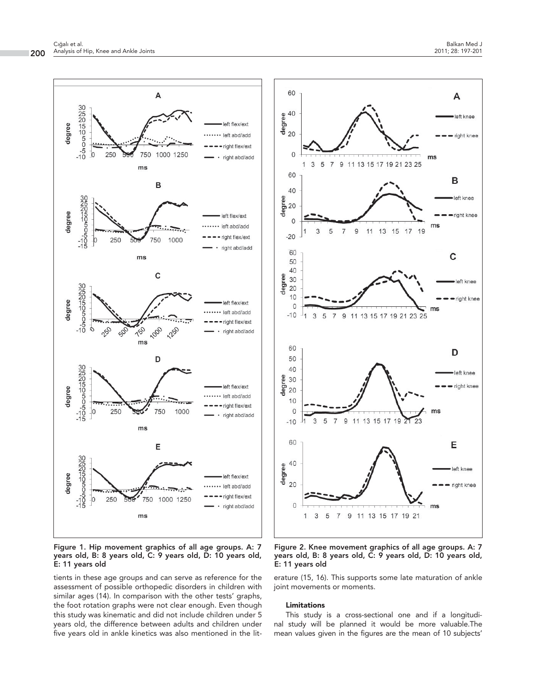A

B

C

D

E

left knee

- right knee

left knee

- right knee

left knee

right knee

eft knee

right knee

left knee

right knee



**Figure 2. Knee movement graphics of all age groups. A: 7 years old, B: 8 years old, C: 9 years old, D: 10 years old, E: 11 years old**

erature (15, 16). This supports some late maturation of ankle joint movements or moments.

#### **Limitations**

This study is a cross-sectional one and if a longitudinal study will be planned it would be more valuable.The mean values given in the figures are the mean of 10 subjects'

**Figure 1. Hip movement graphics of all age groups. A: 7 years old, B: 8 years old, C: 9 years old, D: 10 years old, E: 11 years old**

tients in these age groups and can serve as reference for the assessment of possible orthopedic disorders in children with similar ages (14). In comparison with the other tests' graphs, the foot rotation graphs were not clear enough. Even though this study was kinematic and did not include children under 5 years old, the difference between adults and children under five years old in ankle kinetics was also mentioned in the lit-